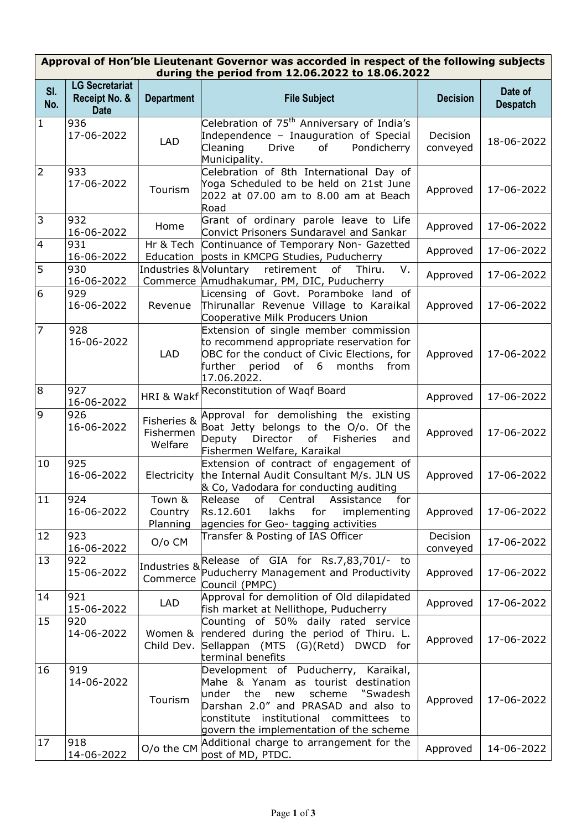## Approval of Hon'ble Lieutenant Governor was accorded in respect of the following subjects during the period from 12.06.2022 to 18.06.2022

| SI.<br>No.     | <b>LG Secretariat</b><br>Receipt No. &<br><b>Date</b> | <b>Department</b>                   | <b>File Subject</b>                                                                                                                                                                                                                                   | <b>Decision</b>      | Date of<br><b>Despatch</b> |
|----------------|-------------------------------------------------------|-------------------------------------|-------------------------------------------------------------------------------------------------------------------------------------------------------------------------------------------------------------------------------------------------------|----------------------|----------------------------|
| 1              | 936<br>17-06-2022                                     | <b>LAD</b>                          | Celebration of 75 <sup>th</sup> Anniversary of India's<br>Independence - Inauguration of Special<br>Cleaning<br>Drive<br>of<br>Pondicherry<br>Municipality.                                                                                           | Decision<br>conveyed | 18-06-2022                 |
| $\overline{2}$ | 933<br>17-06-2022                                     | Tourism                             | Celebration of 8th International Day of<br>Yoga Scheduled to be held on 21st June<br>2022 at 07.00 am to 8.00 am at Beach<br>Road                                                                                                                     | Approved             | 17-06-2022                 |
| 3              | 932<br>16-06-2022                                     | Home                                | Grant of ordinary parole leave to Life<br>Convict Prisoners Sundaravel and Sankar                                                                                                                                                                     | Approved             | 17-06-2022                 |
| $\overline{4}$ | 931<br>16-06-2022                                     |                                     | Hr & Tech Continuance of Temporary Non- Gazetted<br>Education posts in KMCPG Studies, Puducherry                                                                                                                                                      | Approved             | 17-06-2022                 |
| 5              | 930<br>16-06-2022                                     |                                     | V.<br>Industries & Voluntary retirement<br>of Thiru.<br>Commerce Amudhakumar, PM, DIC, Puducherry                                                                                                                                                     | Approved             | 17-06-2022                 |
| 6              | 929<br>16-06-2022                                     | Revenue                             | Licensing of Govt. Poramboke land of<br>Thirunallar Revenue Village to Karaikal<br>Cooperative Milk Producers Union                                                                                                                                   | Approved             | 17-06-2022                 |
| $\overline{7}$ | 928<br>16-06-2022                                     | <b>LAD</b>                          | Extension of single member commission<br>to recommend appropriate reservation for<br>OBC for the conduct of Civic Elections, for<br>further<br>period<br>of<br>months<br>from<br>6<br>17.06.2022.                                                     | Approved             | 17-06-2022                 |
| 8              | 927<br>16-06-2022                                     |                                     | HRI & Wakf Reconstitution of Waqf Board                                                                                                                                                                                                               | Approved             | 17-06-2022                 |
| 9              | 926<br>16-06-2022                                     | Fisheries &<br>Fishermen<br>Welfare | Approval for demolishing the existing<br>Boat Jetty belongs to the O/o. Of the<br>Deputy<br>Director<br>of<br>Fisheries<br>and<br>Fishermen Welfare, Karaikal                                                                                         | Approved             | 17-06-2022                 |
| 10             | 925<br>16-06-2022                                     | Electricity                         | Extension of contract of engagement of<br>the Internal Audit Consultant M/s. JLN US<br>& Co, Vadodara for conducting auditing                                                                                                                         | Approved             | 17-06-2022                 |
| 11             | 924<br>16-06-2022                                     | Town &<br>Country<br>Planning       | of<br>Assistance<br>for<br>Release<br>Central<br>Rs.12.601<br>lakhs for<br>implementing<br>agencies for Geo- tagging activities                                                                                                                       | Approved             | 17-06-2022                 |
| 12             | 923<br>16-06-2022                                     | O/o CM                              | Transfer & Posting of IAS Officer                                                                                                                                                                                                                     | Decision<br>conveyed | 17-06-2022                 |
| 13             | 922<br>15-06-2022                                     | Industries &<br>Commerce            | Release of GIA for Rs.7,83,701/- to<br>Puducherry Management and Productivity<br>Council (PMPC)                                                                                                                                                       | Approved             | 17-06-2022                 |
| 14             | 921<br>15-06-2022                                     | <b>LAD</b>                          | Approval for demolition of Old dilapidated<br>fish market at Nellithope, Puducherry                                                                                                                                                                   | Approved             | 17-06-2022                 |
| 15             | 920<br>14-06-2022                                     | Women &<br>Child Dev.               | Counting of 50% daily rated service<br>rendered during the period of Thiru. L.<br>Sellappan (MTS (G)(Retd) DWCD for<br>terminal benefits                                                                                                              | Approved             | 17-06-2022                 |
| 16             | 919<br>14-06-2022                                     | Tourism                             | Development of Puducherry, Karaikal,<br>Mahe & Yanam as tourist destination<br>"Swadesh<br>lunder<br>the<br>scheme<br>new<br>Darshan 2.0" and PRASAD and also to<br>constitute institutional committees to<br>govern the implementation of the scheme | Approved             | 17-06-2022                 |
| 17             | 918<br>14-06-2022                                     | O/o the CM                          | Additional charge to arrangement for the<br>post of MD, PTDC.                                                                                                                                                                                         | Approved             | 14-06-2022                 |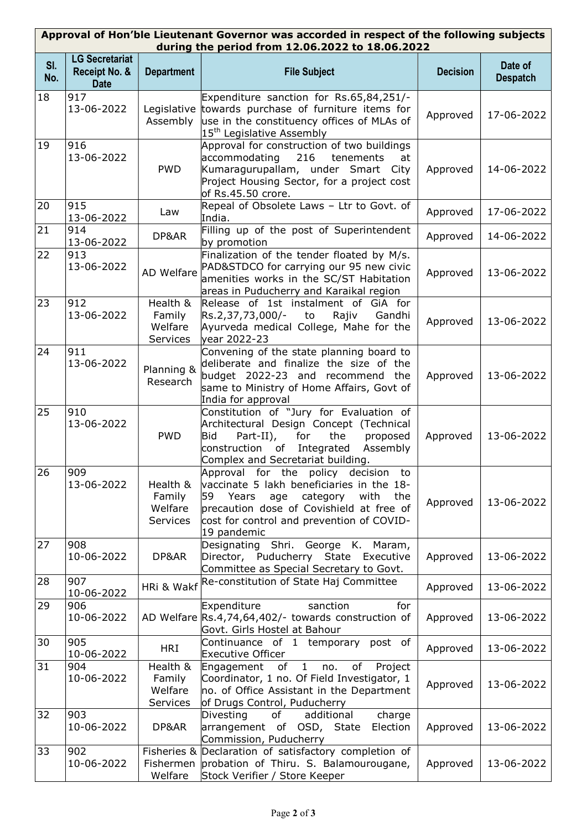| Approval of Hon'ble Lieutenant Governor was accorded in respect of the following subjects<br>during the period from 12.06.2022 to 18.06.2022 |                                                       |                                                  |                                                                                                                                                                                                                                           |                 |                            |  |  |
|----------------------------------------------------------------------------------------------------------------------------------------------|-------------------------------------------------------|--------------------------------------------------|-------------------------------------------------------------------------------------------------------------------------------------------------------------------------------------------------------------------------------------------|-----------------|----------------------------|--|--|
| SI.<br>No.                                                                                                                                   | <b>LG Secretariat</b><br>Receipt No. &<br><b>Date</b> | <b>Department</b>                                | <b>File Subject</b>                                                                                                                                                                                                                       | <b>Decision</b> | Date of<br><b>Despatch</b> |  |  |
| 18                                                                                                                                           | 917<br>13-06-2022                                     | Assembly                                         | Expenditure sanction for Rs.65,84,251/-<br>Legislative towards purchase of furniture items for<br>use in the constituency offices of MLAs of<br>15 <sup>th</sup> Legislative Assembly                                                     | Approved        | 17-06-2022                 |  |  |
| 19                                                                                                                                           | 916<br>13-06-2022                                     | <b>PWD</b>                                       | Approval for construction of two buildings<br>216<br>accommodating<br>tenements<br>at<br>Kumaragurupallam, under Smart City<br>Project Housing Sector, for a project cost<br>of Rs.45.50 crore.                                           | Approved        | 14-06-2022                 |  |  |
| 20                                                                                                                                           | 915<br>13-06-2022                                     | Law                                              | Repeal of Obsolete Laws - Ltr to Govt. of<br>India.                                                                                                                                                                                       | Approved        | 17-06-2022                 |  |  |
| 21                                                                                                                                           | 914<br>13-06-2022                                     | DP&AR                                            | Filling up of the post of Superintendent<br>by promotion                                                                                                                                                                                  | Approved        | 14-06-2022                 |  |  |
| 22                                                                                                                                           | 913<br>13-06-2022                                     | AD Welfare                                       | Finalization of the tender floated by M/s.<br>PAD&STDCO for carrying our 95 new civic<br>amenities works in the SC/ST Habitation<br>areas in Puducherry and Karaikal region                                                               | Approved        | 13-06-2022                 |  |  |
| 23                                                                                                                                           | 912<br>13-06-2022                                     | Health &<br>Family<br>Welfare<br>Services        | Release of 1st instalment of GiA for<br>Rs.2,37,73,000/-<br>Rajiv<br>Gandhi<br>to<br>Ayurveda medical College, Mahe for the<br>year 2022-23                                                                                               | Approved        | 13-06-2022                 |  |  |
| 24                                                                                                                                           | 911<br>13-06-2022                                     | Planning &<br>Research                           | Convening of the state planning board to<br>deliberate and finalize the size of the<br>budget 2022-23 and recommend the<br>same to Ministry of Home Affairs, Govt of<br>India for approval                                                | Approved        | 13-06-2022                 |  |  |
| 25                                                                                                                                           | 910<br>13-06-2022                                     | <b>PWD</b>                                       | Constitution of "Jury for Evaluation of<br>Architectural Design Concept (Technical<br>the<br>Bid<br>Part-II),<br>for<br>proposed<br>Integrated<br>construction<br>of<br>Assembly<br>Complex and Secretariat building.                     | Approved        | 13-06-2022                 |  |  |
| 26                                                                                                                                           | 909<br>13-06-2022                                     | Health &<br>Family<br>Welfare<br><b>Services</b> | Approval for the policy decision to<br>vaccinate 5 lakh beneficiaries in the 18-<br>Years<br>with<br>59<br>age<br>category<br>the<br>precaution dose of Covishield at free of<br>cost for control and prevention of COVID-<br>19 pandemic | Approved        | 13-06-2022                 |  |  |
| 27                                                                                                                                           | 908<br>10-06-2022                                     | DP&AR                                            | Designating Shri. George K. Maram,<br>Director, Puducherry State<br>Executive<br>Committee as Special Secretary to Govt.                                                                                                                  | Approved        | 13-06-2022                 |  |  |
| 28                                                                                                                                           | 907<br>10-06-2022                                     | HRi & Wakf                                       | Re-constitution of State Haj Committee                                                                                                                                                                                                    | Approved        | 13-06-2022                 |  |  |
| 29                                                                                                                                           | 906<br>10-06-2022                                     |                                                  | Expenditure<br>sanction<br>for<br>AD Welfare Rs.4,74,64,402/- towards construction of<br>Govt. Girls Hostel at Bahour                                                                                                                     | Approved        | 13-06-2022                 |  |  |
| 30                                                                                                                                           | 905<br>10-06-2022                                     | <b>HRI</b>                                       | Continuance of 1 temporary post of<br><b>Executive Officer</b>                                                                                                                                                                            | Approved        | 13-06-2022                 |  |  |
| 31                                                                                                                                           | 904<br>10-06-2022                                     | Health &<br>Family<br>Welfare<br>Services        | Engagement of<br>$\mathbf{1}$<br>of<br>Project<br>no.<br>Coordinator, 1 no. Of Field Investigator, 1<br>no. of Office Assistant in the Department<br>of Drugs Control, Puducherry                                                         | Approved        | 13-06-2022                 |  |  |
| 32                                                                                                                                           | 903<br>10-06-2022                                     | DP&AR                                            | Divesting<br>additional<br>charge<br>of<br>arrangement of OSD, State<br>Election<br>Commission, Puducherry                                                                                                                                | Approved        | 13-06-2022                 |  |  |
| 33                                                                                                                                           | 902<br>10-06-2022                                     | Welfare                                          | Fisheries & Declaration of satisfactory completion of<br>Fishermen probation of Thiru. S. Balamourougane,<br>Stock Verifier / Store Keeper                                                                                                | Approved        | 13-06-2022                 |  |  |